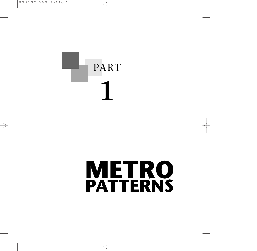# PART **1**

### **METRO PATTERNS**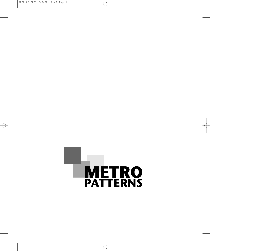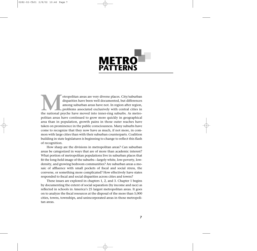

Metropolitan areas are very diverse places. City/suburban disparities have been well documented, but differences among suburban areas have not. In region after region, problems associated exclusively with central cities in disparities have been well documented, but differences among suburban areas have not. In region after region, problems associated exclusively with central cities in politan areas have continued to grow more quickly in geographical area than in population, growth pains in those outer reaches have taken on prominence in the public consciousness. Many suburbs have come to recognize that they now have as much, if not more, in common with large cities than with their suburban counterparts. Coalition building in state legislatures is beginning to change to reflect this flash of recognition.

How sharp are the divisions in metropolitan areas? Can suburban areas be categorized in ways that are of more than academic interest? What portion of metropolitan populations live in suburban places that fit the long-held image of the suburbs—largely white, low-poverty, lowdensity, and growing bedroom communities? Are suburban areas a mosaic of affluence with small pockets of fiscal and social stress, the converse, or something more complicated? How effectively have states responded to fiscal and social disparities across cities and towns?

These issues are explored in chapters 1, 2, and 3. Chapter 1 begins by documenting the extent of social separation (by income and race) as reflected in schools in America's 25 largest metropolitan areas. It goes on to analyze the fiscal resources at the disposal of the more than 5,000 cities, towns, townships, and unincorporated areas in those metropolitan areas.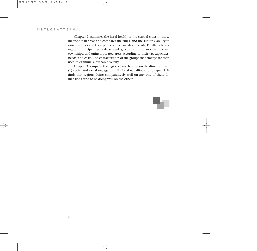Chapter 2 examines the fiscal health of the central cities in those metropolitan areas and compares the cities' and the suburbs' ability to raise revenues and their public service needs and costs. Finally, a typology of municipalities is developed, grouping suburban cities, towns, townships, and unincorporated areas according to their tax capacities, needs, and costs. The characteristics of the groups that emerge are then used to examine suburban diversity.

Chapter 3 compares the regions to each other on the dimensions of (1) social and racial segregation, (2) fiscal equality, and (3) sprawl. It finds that regions doing comparatively well on any one of these dimensions tend to be doing well on the others.

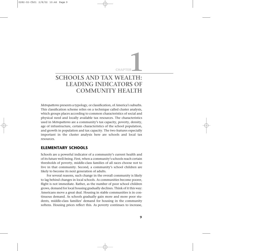# **CHAPTER**<br>**EXALT A LITH**

### **SCHOOLS AND TAX WEALTH: LEADING INDICATORS OF COMMUNITY HEALTH**

*Metropatterns* presents a typology, or classification, of America's suburbs. This classification scheme relies on a technique called cluster analysis, which groups places according to common characteristics of social and physical need and locally available tax resources. The characteristics used in *Metropatterns* are a community's tax capacity, poverty, density, age of infrastructure, certain characteristics of the school population, and growth in population and tax capacity. The two features especially important in the cluster analysis here are schools and local tax resources.

#### **ELEMENTARY SCHOOLS**

Schools are a powerful indicator of a community's current health and of its future well-being. First, when a community's schools reach certain thresholds of poverty, middle-class families of all races choose not to live in that community. Second, a community's school children are likely to become its next generation of adults.

For several reasons, such change in the overall community is likely to lag behind changes in local schools. As communities become poorer, flight is not immediate. Rather, as the number of poor school children grows, demand for local housing gradually declines. Think of it this way: Americans move a great deal. Housing in stable communities is in continuous demand. As schools gradually gain more and more poor students, middle-class families' demand for housing in the community softens. Housing prices reflect this. As poverty continues to increase,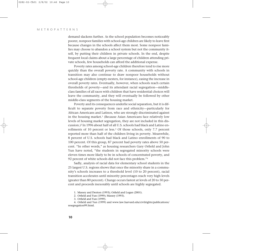demand slackens further. As the school population becomes noticeably poorer, nonpoor families with school-age children are likely to leave first because changes in the schools affect them most. Some nonpoor families may choose to abandon a school system but not the community itself, by putting their children in private schools. In the end, despite frequent local claims about a large percentage of children attending private schools, few households can afford the additional expense.

Poverty rates among school-age children therefore tend to rise more quickly than the overall poverty rate. A community with schools in transition may also continue to draw nonpoor households without school-age children (empty-nesters, for instance), easing the increase in overall poverty rates. Eventually, however, when schools reach certain thresholds of poverty—and its attendant racial segregation—middleclass families of all races with children that have residential choices will leave the community, and they will eventually be followed by other middle-class segments of the housing market.

Poverty and its consequences underlie social separation, but it is difficult to separate poverty from race and ethnicity—particularly for African Americans and Latinos, who are strongly discriminated against in the housing market.<sup>1</sup> (Because Asian Americans face relatively low levels of housing market segregation, they are not included in this discussion.)2 In 1996 about half of all U.S. schools had black and Latino enrollments of 10 percent or less.<sup>3</sup> Of those schools, only 7.7 percent reported more than half of the children living in poverty. Meanwhile, 8 percent of U.S. schools had black and Latino enrollments of 90 to 100 percent. Of this group, 87 percent had poverty rates above 50 percent. "In other words," as housing researchers Gary Orfield and John Yun have noted, "the students in segregated minority schools were eleven times more likely to be in schools of concentrated poverty, and 92 percent of white schools did not face this problem."4

Sadly, analysis of racial data for elementary school students in the 25 largest U.S. regions shows that once the minority share in a community's schools increases to a threshold level (10 to 20 percent), racial transition accelerates until minority percentages reach very high levels (greater than 80 percent). Change occurs fastest at levels of 20 to 50 percent and proceeds inexorably until schools are highly segregated.

1. Massey and Denton (1993); Orfield and Logan (2001).

4. Orfield and Yun (1999) and www.law.harvard.edu/civilrights/publications/ resegregation99.html.

<sup>2.</sup> Orfield and Yun (1999); Massey (1993).

<sup>3.</sup> Orfield and Yun (1999).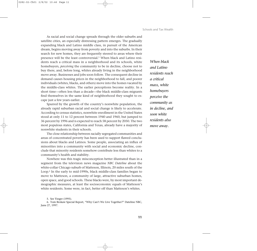As racial and social change spreads through the older suburbs and satellite cities, an especially distressing pattern emerges. The gradually expanding black and Latino middle class, in pursuit of the American dream, begins moving away from poverty and into the suburbs. In their search for new homes, they are frequently steered to areas where their presence will be the least controversial.<sup>5</sup> When black and Latino residents reach a critical mass in a neighborhood and its schools, white homebuyers, *perceiving* the community to be in decline, choose not to buy there, and, before long, whites already living in the neighborhood move away. Businesses and jobs soon follow. The consequent decline in demand causes housing prices in the neighborhood to fall, and poorer individuals (whites, blacks, and others) move into the homes vacated by the middle-class whites. The earlier perceptions become reality. In a short time—often less than a decade—the black middle-class migrants find themselves in the same kind of neighborhood they sought to escape just a few years earlier.

Spurred by the growth of the country's nonwhite population, the already rapid suburban racial and social change is likely to accelerate. According to census statistics, nonwhite enrollment in the United States stood at only 11 to 12 percent between 1940 and 1960, but jumped to 36 percent by 1996 and is expected to reach 58 percent by 2050. The two most populous states, California and Texas, already have a majority of nonwhite students in their schools.

The close relationship between racially segregated communities and areas of concentrated poverty has been used to support flawed conclusions about blacks and Latinos. Some people, associating an influx of minorities into a community with social and economic decline, conclude that minority residents somehow contribute less than whites to a community's health and stability.

Nowhere was this tragic misconception better illustrated than in a segment from the television news magazine *NBC Dateline* about the white-collar Chicago suburb of Matteson, Illinois, 20 miles south of the Loop.6 In the early to mid-1990s, black middle-class families began to move to Matteson, a community of large, attractive suburban homes, open space, and good schools. These blacks were, by most important demographic measures, at least the socioeconomic equals of Matteson's white residents. Some were, in fact, better off than Matteson's whites.

6. Tom Brokaw Special Report, "Why Can't We Live Together?" Dateline NBC, June 27, 1997.

*When black and Latino residents reach a critical mass, white homebuyers perceive the community as in decline, and soon white residents also move away.* 

<sup>5.</sup> See Yinger (1995).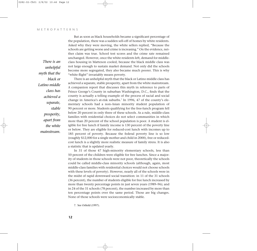*There is an unhelpful myth that the black or Latino middle class has achieved a separate, stable prosperity, apart from the white mainstream.*

But as soon as black households became a significant percentage of the population, there was a sudden sell-off of homes by white residents. Asked why they were moving, the white sellers replied, "Because the schools are getting worse and crime is increasing." On the evidence, neither claim was true. School test scores and the crime rate remained unchanged. However, once the white residents left, demand for middleclass housing in Matteson cooled, because the black middle class was not large enough to sustain market demand. Not only did the schools become more segregated, they also became much poorer. This is why "white flight" invariably means poverty.

There is an unhelpful myth that the black or Latino middle class has achieved a separate, stable prosperity, apart from the white mainstream. A companion report that discusses this myth in reference to parts of Prince George's County in suburban Washington, D.C., finds that the county is actually a telling example of the process of racial and social change in America's at-risk suburbs.<sup>7</sup> In 1996, 47 of the county's elementary schools had a non-Asian minority student population of 90 percent or more. Students qualifying for the free-lunch program fell below 20 percent in only three of these schools. As a rule, middle-class families with residential choices do not select communities in which more than 20 percent of the school population is poor. A student is eligible for free lunch if family income is 130 percent of the poverty line or below. They are eligible for reduced-cost lunch with incomes up to 185 percent of poverty. Because the federal poverty line is so low (roughly \$12,000 for a single mother and child in 2000), free or reducedcost lunch is a slightly more realistic measure of family stress. It is also a statistic that is updated yearly.

In 31 of those 47 high-minority elementary schools, less than 50 percent of the children were eligible for free lunches. Since a majority of students in those schools were not poor, theoretically the schools could be called middle-class minority schools (although, again, most middle-class families with residential choices would not choose schools with these levels of poverty). However, nearly all of the schools were in the midst of rapid downward social transition: in 11 of the 31 schools (36 percent), the number of students eligible for free lunch increased by more than twenty percentage points in just seven years (1989–96); and in 24 of the 31 schools (78 percent), the number increased by more than ten percentage points over the same period. Those are big changes. None of those schools were socioeconomically stable.

7. See Orfield (1997).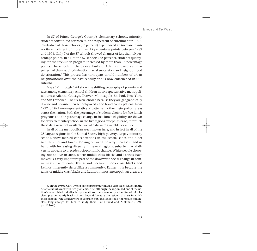In 57 of Prince George's County's elementary schools, minority students constituted between 50 and 90 percent of enrollment in 1996. Thirty-two of those schools (56 percent) experienced an increase in minority enrollment of more than 15 percentage points between 1989 and 1996. Only 7 of the 57 schools showed changes of less than 10 percentage points. In 41 of the 57 schools (72 percent), students qualifying for the free-lunch program increased by more than 15 percentage points. The schools in the older suburbs of Atlanta showed a similar pattern of change: discrimination, racial succession, and neighborhood deterioration.8 This process has torn apart untold numbers of urban neighborhoods over the past century and is now entrenched in U.S. suburbs.

Maps 1-1 through 1-24 show the shifting geography of poverty and race among elementary school children in six representative metropolitan areas: Atlanta, Chicago, Denver, Minneapolis–St. Paul, New York, and San Francisco. The six were chosen because they are geographically diverse and because their school-poverty and tax-capacity patterns from 1992 to 1997 were representative of patterns in other metropolitan areas across the nation. Both the percentage of students eligible for free-lunch programs and the percentage change in free-lunch eligibility are shown for every elementary school in the five regions except Chicago, for which these data were not available. Racial data were available for all six.

In all of the metropolitan areas shown here, and in fact in all of the 25 largest regions in the United States, high-poverty, largely minority schools show marked concentrations in the central cities and older satellite cities and towns. Moving outward, poverty increases hand in hand with increasing diversity. In several regions, suburban racial diversity appears to precede socioeconomic change. White people choosing not to live in areas where middle-class blacks and Latinos have moved is a very important part of the downward social change in communities. To reiterate, this is not because middle-class blacks and Latinos inherently destabilize a community. Rather, it is because the ranks of middle-class blacks and Latinos in most metropolitan areas are

8. In the 1980s, Gary Orfield's attempt to study middle-class black schools in the Atlanta suburbs met with two problems. First, although the region had one of the nation's largest black middle-class populations, there were only a handful of middleclass, predominantly black schools. Second, because the residential areas in which those schools were located were in constant flux, the schools did not remain middleclass long enough for him to study them. See Orfield and Ashkinase (1991, pp. 103–48).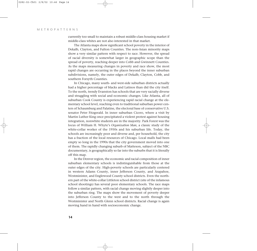currently too small to maintain a robust middle-class housing market if middle-class whites are not also interested in that market.

The Atlanta maps show significant school poverty in the interior of Dekalb, Clayton, and Fulton Counties. The non-Asian minority maps show a very similar pattern with respect to race. However, the spread of racial diversity is somewhat larger in geographic scope than the spread of poverty, reaching deeper into Cobb and Gwinnett Counties. As the maps measuring changes in poverty and race show, the most rapid changes are occurring in the places beyond the inner suburban subdivisions, namely, the outer edges of Dekalb, Clayton, Cobb, and southern Forsyth Counties.

In Chicago, many south- and west-side suburban districts actually had a higher percentage of blacks and Latinos than did the city itself. To the north, trendy Evanston has schools that are very racially diverse and struggling with social and economic changes. Like Atlanta, all of suburban Cook County is experiencing rapid racial change at the elementary school level, reaching even to traditional suburban power centers of Schaumburg and Palatine, the electoral base of conservative U.S. senator Peter Fitzgerald. In inner suburban Cicero, where a visit by Martin Luther King once precipitated a violent protest against housing integration, nonwhite students are in the majority. Park Forest was the locus of William H. Whyte's *Organization Man*, a classic study of the white-collar worker of the 1950s and his suburban life. Today, the schools are increasingly poor and diverse and, per household, the city has a fraction of the local resources of Chicago. Local malls had been empty so long in the 1990s that the city government moved into one of them. The rapidly changing suburb of Matteson, subject of the NBC documentary, is geographically so far into the suburbs that it is literally off this map.

In the Denver region, the economic and racial composition of inner suburban elementary schools is indistinguishable from those at the outer edges of the city. High-poverty schools are particularly centered in western Adams County, inner Jefferson County, and Arapahoe, Westminister, and Englewood County school districts. Even the northern part of the white-collar Littleton school district (site of the infamous school shootings) has several poor elementary schools. The race maps follow a similar pattern, with racial change moving slightly deeper into the suburban ring. The maps show the movement of poverty deeper into Jefferson County to the west and to the north through the Westminister and North Glenn school districts. Racial change is again moving hand in hand with socioeconomic change.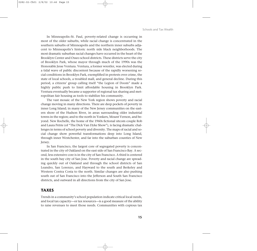In Minneapolis–St. Paul, poverty-related change is occurring in most of the older suburbs, while racial change is concentrated in the southern suburbs of Minneapolis and the northern inner suburbs adjacent to Minneapolis's historic north side black neighborhoods. The most dramatic suburban racial changes have occurred in the heart of the Brooklyn Center and Osseo school districts. These districts serve the city of Brooklyn Park, whose mayor through much of the 1990s was the Honorable Jesse Ventura. Ventura, a former wrestler, was elected during a tidal wave of public discontent because of the rapidly worsening social conditions in Brooklyn Park, exemplified in protests over crime, the state of local schools, a troubled mall, and general decline. During this period, a citizens' group calling itself "the Legion of Doom" made a highly public push to limit affordable housing in Brooklyn Park. Ventura eventually became a supporter of regional tax sharing and metropolitan fair housing as tools to stabilize his community.

The vast mosaic of the New York region shows poverty and racial change moving in many directions. There are deep pockets of poverty in inner Long Island; in many of the New Jersey communities on the eastern shore of the Hudson River, in areas surrounding older industrial towns in the region; and to the north in Yonkers, Mount Vernon, and beyond. New Rochelle, the home of the 1960s fictional sitcom couple Rob and Laura Petrie (of "The Dick Van Dyke Show"), is facing dramatic challenges in terms of school poverty and diversity. The maps of racial and social change show powerful transformations deep into Long Island, through inner Westchester, and far into the suburban counties of New Jersey.

In San Francisco, the largest core of segregated poverty is concentrated in the city of Oakland on the east side of San Francisco Bay. A second, less extensive core is in the city of San Francisco. A third is centered in the south bay city of San Jose. Poverty and racial change are spreading quickly out of Oakland and through the school districts of San Leandro, San Lorenzo, and Hayward to the south and Berkeley and Western Contra Costa to the north. Similar changes are also pushing south out of San Francisco into the Jefferson and South San Francisco districts, and outward in all directions from the city of San Jose.

#### **TAXES**

Trends in a community's school population indicate critical local needs, and local tax capacity—or tax resources—is a good measure of the ability to raise revenues to meet those needs. Communities with copious tax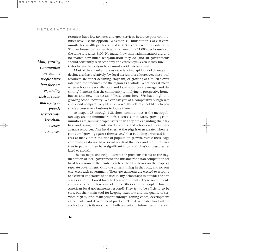*Many growing communities are gaining people faster than they are expanding their tax base and trying to provide services with less-thanaverage resources.*

resources have low tax rates and great services. Resource-poor communities have just the opposite. Why is this? Think of it this way: if community tax wealth per household is \$100, a 10 percent tax rate raises \$10 per household for services; if tax wealth is \$1,000 per household, the same rate raises \$100. No matter how smart administrators are, and no matter how much reorganization they do (and all governments should constantly seek economy and efficiency)—even if they hire Bill Gates to run their city—they cannot avoid this basic math.

Most of the suburban places experiencing rapid school change and decline also have relatively few local tax resources. Moreover, these local resources are either declining, stagnant, or growing at a much slower rate than the resources for the region as a whole. What does it mean when schools are socially poor and local resources are meager and declining? It means that the community is implying to prospective homebuyers and new businesses, "Please come here. We have high and growing school poverty. We can tax you at a comparatively high rate and spend comparatively little on you." This claim is not likely to persuade a person or a business to locate there.

As maps 1-25 through 1-38 show, communities at the metropolitan edge are not immune from fiscal stress either. Many growing communities are gaining people faster than they are expanding their tax base and trying to provide streets, sewers, and schools with less-thanaverage resources. This fiscal stress at the edge is even greater when regions are "growing against themselves," that is, adding urbanized land area at many times the rate of population growth. While these edge communities do not have social needs of the poor and old infrastructure to pay for, they have significant fiscal and physical pressures related to growth.

The tax maps also help illustrate the problems related to the fragmentation of local government and intrametropolitan competition for local tax resources. Remember, each of the little boxes on the map is a separate government. Only the citizens living in that box, and no one else, elect each government. These governments are elected to respond to a central imperative of politics in any democracy: to provide the best services and the lowest taxes to their constituents. These governments are not elected to take care of other cities or other people. How do American local governments respond? They try to be efficient, to be sure, but their main tool for keeping taxes low and the quality of services high is land management through zoning codes, development agreements, and development practices. The developable land within such a locality is its resource for both present and future needs. In short,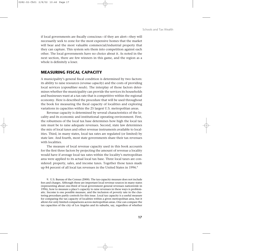if local governments are fiscally conscious—if they are alert—they will necessarily seek to zone for the most expensive homes that the market will bear and the most valuable commercial/industrial property that they can capture. This system sets them into competition against each other. The local governments have no choice about it. As noted in the next section, there are few winners in this game, and the region as a whole is definitely a loser.

#### **MEASURING FISCAL CAPACITY**

A municipality's general fiscal condition is determined by two factors: its ability to raise resources (*revenue capacity*) and the costs of providing local services (*expenditure needs*). The interplay of those factors determines whether the municipality can provide the services its households and businesses want at a tax rate that is competitive within the regional economy. Here is described the procedure that will be used throughout the book for measuring the fiscal capacity of localities and exploring variations in capacities within the 25 largest U.S. metropolitan areas.

Revenue capacity is determined by several characteristics of the locality and its economic and institutional operating environment. First, the robustness of the local tax base determines how high the local tax rate must be to raise adequate revenues. Second, state law determines the mix of local taxes and other revenue instruments available to localities. Third, in many states, local tax rates are regulated (or limited) by state law. And fourth, most state governments share their tax revenues with localities.

The measure of local revenue capacity used in this book accounts for the first three factors by projecting the amount of revenue a locality would have if average local tax rates within the locality's metropolitan area were applied to its actual local tax base. Three local taxes are considered: property, sales, and income taxes. Together those taxes made up 84 percent of all local tax revenues in the United States in 1996.<sup>9</sup>

9. U.S. Bureau of the Census (2000). The tax-capacity measure does not include fees and charges. Although these are important local revenue sources in many states (representing about one-third of local government general revenues nationwide in 1996), how to measure a place's capacity to raise revenues in these ways is problematic. Income is one possible measure, and the inclusion of poverty rate in the clustering procedure partly controls for this issue. Local tax capacity is a useful measure for comparing the tax capacity of localities within a given metropolitan area, but it allows for only limited comparisons across metropolitan areas. One can compare the tax capacities of the city of Los Angeles and its suburbs, say, regardless of whether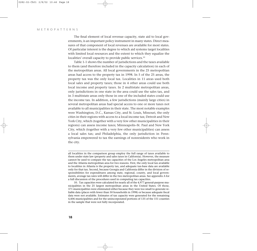The final element of local revenue capacity, state aid to local governments, is an important policy instrument in many states. Direct measures of that component of local revenues are available for most states. Of particular interest is the degree to which aid systems target localities with limited local resources and the extent to which they equalize the localities' overall capacity to provide public services.<sup>10</sup>

Table 1-1 shows the number of jurisdictions and the taxes available to them (and therefore included in the capacity calculation) in each of the metropolitan areas. All local governments in the 25 metropolitan areas had access to the property tax in 1998. In 5 of the 25 areas, the property tax was the only local tax. Localities in 11 areas used both local sales and property taxes; those in 4 other areas could use both local income and property taxes. In 2 multistate metropolitan areas, only jurisdictions in one state in the area could use the sales tax, and in 3 multistate areas only those in one of the included states could use the income tax. In addition, a few jurisdictions (mainly large cities) in several metropolitan areas had special access to one or more taxes not available to all municipalities in their state. The most notable examples were Washington, D.C., Kansas City, and St. Louis, Missouri, the only cities in their regions with access to a local income tax; Detroit and New York City, which (together with a very few other municipalities in their regions) can assess income taxes; Minneapolis–St. Paul and New York City, which (together with a very few other municipalities) can assess a local sales tax; and Philadelphia, the only jurisdiction in Pennsylvania empowered to tax the earnings of nonresidents who work in the city.

all localities in the comparison group employ the full range of taxes available to them under state law (property and sales taxes in California). However, the measure cannot be used to compare the tax capacities of the Los Angeles metropolitan area and the Atlanta metropolitan area for two reasons. First, the only local tax available to localities in Atlanta is the property tax, and adequate tax-base data are available only for that tax. Second, because Georgia and California differ in the division of responsibilities for expenditures among state, regional, county, and local governments, average tax rates will differ in the two metropolitan areas. See appendix A for a full discussion of the procedures used in computing tax capacities.

<sup>10.</sup> Tax capacities were calculated for nearly all of the 4,977 general-purpose municipalities in the 25 largest metropolitan areas in the United States. Of those, 371 municipalities were eliminated either because they were too small to generate reliable data (places with fewer than 50 households in 1998) or because adequate fiscal data were not available. Estimates of tax capacity were generated for the remaining 4,606 municipalities and for the unincorporated portions of 135 of the 151 counties in the sample that were not fully incorporated.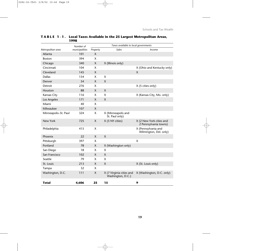|                      | Number of      | Taxes available to local governments |                                               |                                                   |
|----------------------|----------------|--------------------------------------|-----------------------------------------------|---------------------------------------------------|
| Metropolitan area    | municipalities | Property                             | Sales                                         | <b>Income</b>                                     |
| Atlanta              | 101            | X                                    |                                               |                                                   |
| <b>Boston</b>        | 394            | X                                    |                                               |                                                   |
| Chicago              | 340            | X                                    | X (Illinois only)                             |                                                   |
| Cincinnati           | 104            | X.                                   |                                               | X (Ohio and Kentucky only)                        |
| Cleveland            | 145            | X                                    |                                               | X                                                 |
| <b>Dallas</b>        | 154            | X                                    | X                                             |                                                   |
| Denver               | 54             | $\mathsf{X}$                         | X                                             |                                                   |
| Detroit              | 276            | X                                    |                                               | X (5 cities only)                                 |
| Houston              | 88             | X                                    | X                                             |                                                   |
| Kansas City          | 116            | X                                    | X                                             | X (Kansas City, Mo. only)                         |
| Los Angeles          | 171            | X                                    | X                                             |                                                   |
| Miami                | 40             | X                                    |                                               |                                                   |
| Milwaukee            | 107            | X                                    |                                               |                                                   |
| Minneapolis-St. Paul | 324            | X                                    | X (Minneapolis and<br>St. Paul only)          |                                                   |
| New York             | 725            | X                                    | X (5 NY cities)                               | X (2 New York cities and<br>2 Pennsylvania towns) |
| Philadelphia         | 415            | X                                    |                                               | X (Pennsylvania and<br>Wilmington, Del. only)     |
| Phoenix              | 22             | X                                    | X                                             |                                                   |
| Pittsburgh           | 397            | X                                    |                                               | X                                                 |
| Portland             | 78             | $\mathsf{X}$                         | X (Washington only)                           |                                                   |
| San Diego            | 18             | X.                                   | X                                             |                                                   |
| San Francisco        | 102            | X                                    | Χ                                             |                                                   |
| Seattle              | 79             | X                                    | Χ                                             |                                                   |
| St. Louis            | 213            | $\mathsf{X}$                         | X                                             | X (St. Louis only)                                |
| Tampa                | 32             | X                                    |                                               |                                                   |
| Washington, D.C.     | 111            | X                                    | X (7 Virginia cities and<br>Washington, D.C.) | X (Washington, D.C. only)                         |
| Total                | 4,606          | 25                                   | 15                                            | 9                                                 |

#### **TABLE 1-1. Local Taxes Available in the 25 Largest Metropolitan Areas, 1998**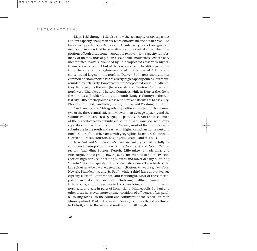Maps 1-25 through 1-38 also show the geography of tax capacities and tax capacity changes in six representative metropolitan areas. The tax-capacity patterns in Denver and Atlanta are typical of one group of metropolitan areas that have relatively strong central cities. The inner portions of both areas contain groups of relatively low-capacity suburbs, many of them islands of pink in a sea of blue: moderately low-capacity incorporated towns surrounded by unincorporated areas with higherthan-average capacity. Most of the lowest-capacity localities are farther from the core of the region—scattered in the case of Atlanta and concentrated largely in the north in Denver. Both areas show another common phenomenon: a few relatively high-capacity outer suburbs surrounded by relatively low-capacity unincorporated areas. In Atlanta, they lie largely to the east (in Rockdale and Newton Counties) and northwest (Cherokee and Bartow Counties), while in Denver they lie to the northwest (Boulder County) and south (Douglas County) of the central city. Other metropolitan areas with similar patterns are Kansas City, Phoenix, Portland, San Diego, Seattle, Tampa, and Washington, D.C.

San Francisco and Chicago display a different pattern. In both areas, two of the three central cities show lower-than-average capacity, and the suburbs exhibit very clear geographic patterns. In San Francisco, most of the highest-capacity suburbs are south of San Francisco, with lower capacities clustered to the east. In Chicago, most of the lower-capacity suburbs are in the south and east, with higher capacities in the west and north. Some of the other areas with geographic clusters are Cincinnati, Cleveland, Dallas, Houston, Los Angeles, Miami, and St. Louis.

New York and Minneapolis–St. Paul are fairly typical of the fully incorporated metropolitan areas of the Northeast and North-Central regions (including Boston, Detroit, Milwaukee, Philadelphia, and Pittsburgh). In that group, low-capacity suburbs tend to fit into two categories: high-density inner-ring suburbs and lower-density outer-ring "exurbs." The tax capacity of the central cities varies. Two-thirds of the large cities have below-average capacity (Boston, Milwaukee, New York, Newark, Philadelphia, and St. Paul), while a third have above-average capacity (Detroit, Minneapolis, and Pittsburgh). Most of these metropolitan areas also show significant clustering of affluent communities. In New York, clustering occurs in the second-ring suburbs to the west, northeast, and east in parts of Long Island. Minneapolis–St. Paul and other areas have even more distinct corridors of affluence, often parallel to ring roads—to the south and southwest of the central cities in Minneapolis–St. Paul; to the west in Boston; to the north and northwest in Detroit; and to the west and northwest in Pittsburgh.